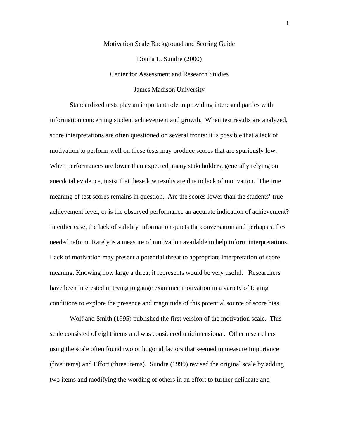Motivation Scale Background and Scoring Guide Donna L. Sundre (2000) Center for Assessment and Research Studies James Madison University

Standardized tests play an important role in providing interested parties with information concerning student achievement and growth. When test results are analyzed, score interpretations are often questioned on several fronts: it is possible that a lack of motivation to perform well on these tests may produce scores that are spuriously low. When performances are lower than expected, many stakeholders, generally relying on anecdotal evidence, insist that these low results are due to lack of motivation. The true meaning of test scores remains in question. Are the scores lower than the students' true achievement level, or is the observed performance an accurate indication of achievement? In either case, the lack of validity information quiets the conversation and perhaps stifles needed reform. Rarely is a measure of motivation available to help inform interpretations. Lack of motivation may present a potential threat to appropriate interpretation of score meaning. Knowing how large a threat it represents would be very useful. Researchers have been interested in trying to gauge examinee motivation in a variety of testing conditions to explore the presence and magnitude of this potential source of score bias.

Wolf and Smith (1995) published the first version of the motivation scale. This scale consisted of eight items and was considered unidimensional. Other researchers using the scale often found two orthogonal factors that seemed to measure Importance (five items) and Effort (three items). Sundre (1999) revised the original scale by adding two items and modifying the wording of others in an effort to further delineate and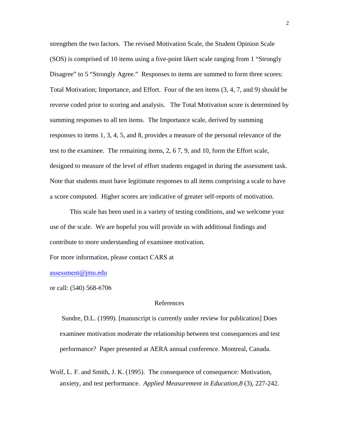strengthen the two factors. The revised Motivation Scale, the Student Opinion Scale (SOS) is comprised of 10 items using a five-point likert scale ranging from 1 "Strongly Disagree" to 5 "Strongly Agree." Responses to items are summed to form three scores: Total Motivation; Importance, and Effort. Four of the ten items (3, 4, 7, and 9) should be reverse coded prior to scoring and analysis. The Total Motivation score is determined by summing responses to all ten items. The Importance scale, derived by summing responses to items 1, 3, 4, 5, and 8, provides a measure of the personal relevance of the test to the examinee. The remaining items, 2, 6 7, 9, and 10, form the Effort scale, designed to measure of the level of effort students engaged in during the assessment task. Note that students must have legitimate responses to all items comprising a scale to have a score computed. Higher scores are indicative of greater self-reports of motivation.

This scale has been used in a variety of testing conditions, and we welcome your use of the scale. We are hopeful you will provide us with additional findings and contribute to more understanding of examinee motivation.

For more information, please contact CARS at

assessment[@jmu.edu](mailto:sundredl@jmu.edu) 

or call: (540) 568-6706

## References

Sundre, D.L. (1999). [manuscript is currently under review for publication] Does examinee motivation moderate the relationship between test consequences and test performance? Paper presented at AERA annual conference. Montreal, Canada.

Wolf, L. F. and Smith, J. K. (1995). The consequence of consequence: Motivation, anxiety, and test performance. *Applied Measurement in Education,8* (3), 227-242.